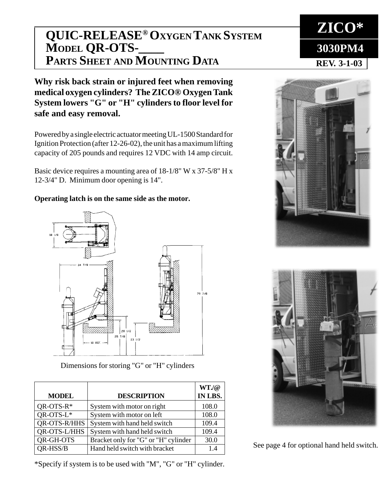## **QUIC-RELEASE® OXYGEN TANK SYSTEM MODEL QR-OTS-\_\_\_\_ PARTS SHEET AND MOUNTING DATA REV. 3-1-03**

**Why risk back strain or injured feet when removing medical oxygen cylinders? The ZICO® Oxygen Tank System lowers "G" or "H" cylinders to floor level for safe and easy removal.**

Powered by a single electric actuator meeting UL-1500 Standard for Ignition Protection (after 12-26-02), the unit has a maximum lifting capacity of 205 pounds and requires 12 VDC with 14 amp circuit.

Basic device requires a mounting area of 18-1/8" W x 37-5/8" H x 12-3/4" D. Minimum door opening is 14".

## **Operating latch is on the same side as the motor.**



Dimensions for storing "G" or "H" cylinders

|                  |                                      | WT <sub>n</sub> /@ |
|------------------|--------------------------------------|--------------------|
| <b>MODEL</b>     | <b>DESCRIPTION</b>                   | IN LBS.            |
| $QR$ -OTS- $R^*$ | System with motor on right           | 108.0              |
| QR-OTS-L*        | System with motor on left            | 108.0              |
| QR-OTS-R/HHS     | System with hand held switch         | 109.4              |
| QR-OTS-L/HHS     | System with hand held switch         | 109.4              |
| QR-GH-OTS        | Bracket only for "G" or "H" cylinder | 30.0               |
| <b>QR-HSS/B</b>  | Hand held switch with bracket        | 1.4                |

\*Specify if system is to be used with "M", "G" or "H" cylinder.





See page 4 for optional hand held switch.

**ZICO\* 3030PM4**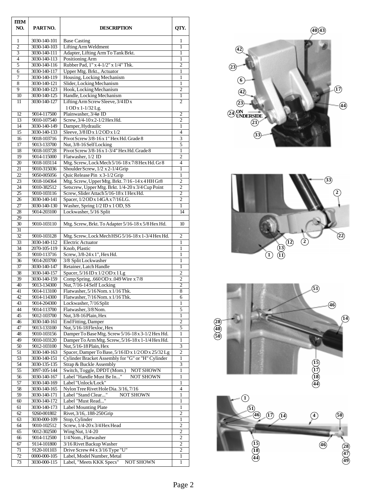| <b>IIEM</b><br>NO.    | PARTNO.                      | <b>DESCRIPTION</b>                                                                 | QTY.                             |
|-----------------------|------------------------------|------------------------------------------------------------------------------------|----------------------------------|
| 1<br>$\overline{2}$   | 3030-140-101<br>3030-140-103 | <b>Base Casting</b><br>Lifting Arm Weldment                                        | 1<br>1                           |
| $\overline{3}$        | 3030-140-111                 | Adapter, Lifting Arm To Tank Brkt.                                                 | 1                                |
| 4                     | 3030-140-113                 | Positioning Arm                                                                    | 1                                |
| 5                     | 3030-140-116                 | Rubber Pad, 1" x 4-1/2" x 1/4" Thk.                                                | $\overline{c}$                   |
| 6                     | 3030-140-117                 | Upper Mtg. Brkt., Actuator                                                         | 1                                |
| 7                     | 3030-140-119                 | Housing, Locking Mechanism                                                         | 1                                |
| 8<br>9                | 3030-140-121<br>3030-140-123 | Slider, Locking Mechanism<br>Hook, Locking Mechanism                               | 1<br>2                           |
| 10                    | 3030-140-125                 | Handle, Locking Mechanism                                                          | $\mathbf{1}$                     |
| 11                    | 3030-140-127                 | Lifting Arm Screw Sleeve, 3/4 ID x                                                 | $\overline{c}$                   |
| 12                    | 9014-117500                  | 1 OD x 1-1/32 Lg.<br>Plainwasher, 3/4ø ID                                          | 2                                |
| 13                    | 9010-107540                  | Screw, 3/4-10 x 2-1/2 Hex Hd.                                                      | 2                                |
| 14                    | 3030-140-149                 | Damper, Hydraulic                                                                  | $\mathbf{1}$                     |
| 15                    | 3030-140-133                 | Sleeve, 3/8 ID x 1/2 OD x 1/2                                                      | $\overline{4}$                   |
| 16                    | 9018-103716                  | Pivot Screw 3/8-16 x 1" Hex Hd. Grade 8                                            | 3                                |
| 17                    | 9013-133700                  | Nut, 3/8-16 Self Locking                                                           | 5                                |
| 18                    | 9018-103728                  | Pivot Screw 3/8-16 x 1-3/4" Hex Hd. Grade 8                                        | 1                                |
| 19<br>20              | 9014-115000<br>9018-103114   | Flatwasher, 1/2 ID<br>Mtg. Screw, Lock Mech 5/16-18 x 7/8 Hex Hd. Gr 8             | $\overline{2}$<br>$\overline{4}$ |
| 21                    | 9010-315036                  | Shoulder Screw, 1/2 x 2-1/4 Grip                                                   | 1                                |
| $\mathfrak{D}$        | 9050-005056                  | Quic Release Pin x 3-1/2 Grip                                                      | 1                                |
| 23                    | 9018-104364                  | Mtg. Screw, Upper Mtg. Brkt. 7/16-14 x 4 HH Gr8                                    | 2                                |
| $\overline{24}$       | 9010-382512                  | Setscrew, Upper Mtg. Brkt. 1/4-20 x 3/4 Cup Point                                  | $\overline{2}$                   |
| $\overline{25}$       | 9010-103116                  | Screw, Slider Attach 5/16-18 x 1 Hex Hd.                                           | $\overline{c}$                   |
| 26                    | 3030-140-141                 | Spacer, 1/2 OD x 14 GA x 7/16 LG.                                                  | $\overline{2}$                   |
| 27                    | 3030-140-130                 | Washer, Spring 1/2 ID x 1 OD, SS                                                   | 1                                |
| 28<br>$\overline{29}$ | 9014-203100                  | Lockwasher, 5/16 Split                                                             | 14                               |
| 30                    | 9010-103110                  | Mtg. Screw, Brkt. To Adapter 5/16-18 x 5/8 Hex Hd.                                 | 10                               |
| 31                    |                              |                                                                                    |                                  |
| 32                    | 9010-103128                  | Mtg. Screw, Lock Mech HSG 5/16-18 x 1-3/4 Hex Hd.                                  | $\overline{c}$                   |
| 33                    | 3030-140-112                 | <b>Electric Actuator</b>                                                           | 1                                |
| 34                    | 2070-105-119                 | Knob, Plastic                                                                      | $\mathbf{1}$                     |
| 35                    | 9010-113716                  | Screw, 3/8-24 x 1", Hex Hd.                                                        | 1                                |
| 36                    | 9014-203700                  | 3/8 Split Lockwasher                                                               | 1                                |
| 37<br>38              | 3030-140-147<br>3030-140-157 | Retainer, Latch Handle<br>Spacer, 5/16 ID x 1/2 OD x 1 Lg                          | 1<br>2                           |
| 39                    | 3030-140-159                 | Comp Spring, .660 OD x .049 Wire x 7/8                                             | $\overline{c}$                   |
| 40                    | 9013-134300                  | Nut, 7/16-14 Self Locking                                                          | $\overline{2}$                   |
| 41                    | 9014-113100                  | Flatwasher, 5/16 Nom. x 1/16 Thk.                                                  | 8                                |
| 42                    | 9014-114300                  | Flatwasher, 7/16 Nom. x 1/16 Thk.                                                  | 6                                |
| 43                    | 9014-204300                  | Lockwasher, 7/16 Split                                                             | 1                                |
| 44                    | 9014-113700                  | Flatwasher, 3/8 Nom.                                                               | 5                                |
| 45<br>46              | 9012-103700<br>3030-140-161  | Nut, 3/8-16 Plain, Hex<br><b>End Fitting</b> , Damper                              | 1<br>$\overline{2}$              |
| 47                    | 9013-133100                  | Nut, 5/16-18 Flexloc, Hex                                                          | 5                                |
| 48                    | 9010-103156                  | Damper To Base Mtg. Screw 5/16-18 x 3-1/2 Hex Hd.                                  | 1                                |
| 49                    | 9010-103120                  | Damper To Arm Mtg. Screw, 5/16-18 x 1-1/4 Hex Hd.                                  | $\mathbf{1}$                     |
| 50                    | 9012-103100                  | Nut, 5/16-18 Plain, Hex                                                            |                                  |
| 51                    | 3030-140-163                 | Spacer, Damper To Base, 5/16 ID x 1/2 OD x 25/32 Lg                                | $\mathbf{2}$                     |
| 53                    | 3030-140-151                 | Cylinder Bracket Assembly for "G" or "H" Cylinder                                  | $\mathbf{1}$                     |
| 54<br>55              | 3030-135-135                 | Strap & Buckle Assembly                                                            | 3<br>$\mathbf{1}$                |
| 56                    | 3097-105-144<br>3030-140-167 | Switch, Toggle, DPDT (Mom.)<br>NOT SHOWN<br>Label "Handle Must Be In"<br>NOT SHOWN | 1                                |
| 57                    | 3030-140-169                 | Label "Unlock/Lock"                                                                | 1                                |
| 58                    | 3030-140-165                 | Nylon Tree Rivet Hole Dia. 3/16, 7/16                                              | $\overline{4}$                   |
| 59                    | 3030-140-171                 | Label "Stand Clear"<br><b>NOT SHOWN</b>                                            | 1                                |
| $\omega$              | 3030-140-172                 | Label "Must Read"                                                                  | 1                                |
| 61                    | 3030-140-173                 | Label Mounting Plate                                                               | 1                                |
| 62<br>63              | 9260-001802                  | Rivet, 3/16, .188-250 Grip                                                         | $\overline{2}$                   |
| 64                    | 3030-000-109<br>9010-102512  | Stop, Cylinder<br>Screw, 1/4-20 x 3/4 Hex Head                                     | 1<br>2                           |
| 65                    | 9012-302500                  | Wing Nut, 1/4-20                                                                   | $\mathbf{2}$                     |
| 66                    | 9014-112500                  | 1/4 Nom., Flatwasher                                                               | 2                                |
| 67                    | 9114-101800                  | 3/16 Rivet Backup Washer                                                           | 2                                |
| $\overline{71}$       | 9120-101103                  | Drive Screw #4 x 3/16 Type "U"                                                     | $\overline{2}$                   |
| 72                    | 0000-000-105                 | Label, Model Number, Metal                                                         | 1                                |
| 73                    | 3030-000-115                 | Label, "Meets KKK Specs"<br>NOT SHOWN                                              | $\mathbf{1}$                     |





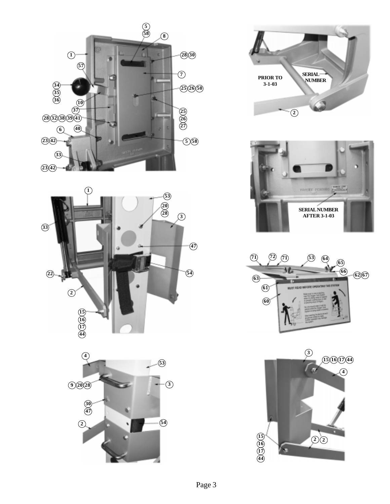